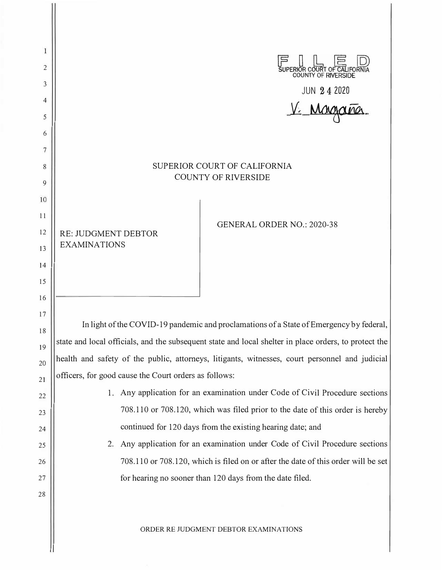| 1        |                                                                                                       |
|----------|-------------------------------------------------------------------------------------------------------|
| 2<br>3   | UPERIOR COURT OF CALIFORNIA<br>COUNTY OF RIVERSIDE                                                    |
| 4        | JUN 242020                                                                                            |
| 5        |                                                                                                       |
| 6        |                                                                                                       |
| 7        |                                                                                                       |
| 8        | SUPERIOR COURT OF CALIFORNIA<br><b>COUNTY OF RIVERSIDE</b>                                            |
| 9        |                                                                                                       |
| 10       |                                                                                                       |
| 11<br>12 | <b>GENERAL ORDER NO.: 2020-38</b>                                                                     |
| 13       | <b>RE: JUDGMENT DEBTOR</b><br><b>EXAMINATIONS</b>                                                     |
| 14       |                                                                                                       |
| 15       |                                                                                                       |
| 16       |                                                                                                       |
| 17       | In light of the COVID-19 pandemic and proclamations of a State of Emergency by federal,               |
| 18       | state and local officials, and the subsequent state and local shelter in place orders, to protect the |
| 19       | health and safety of the public, attorneys, litigants, witnesses, court personnel and judicial        |
| 20<br>21 | officers, for good cause the Court orders as follows:                                                 |
| 22       | 1. Any application for an examination under Code of Civil Procedure sections                          |
| 23       | 708.110 or 708.120, which was filed prior to the date of this order is hereby                         |
| 24       | continued for 120 days from the existing hearing date; and                                            |
| 25       | Any application for an examination under Code of Civil Procedure sections<br>2.                       |
| 26       | 708.110 or 708.120, which is filed on or after the date of this order will be set                     |
| 27       | for hearing no sooner than 120 days from the date filed.                                              |
| 28       |                                                                                                       |
|          | ORDER RE JUDGMENT DEBTOR EXAMINATIONS                                                                 |